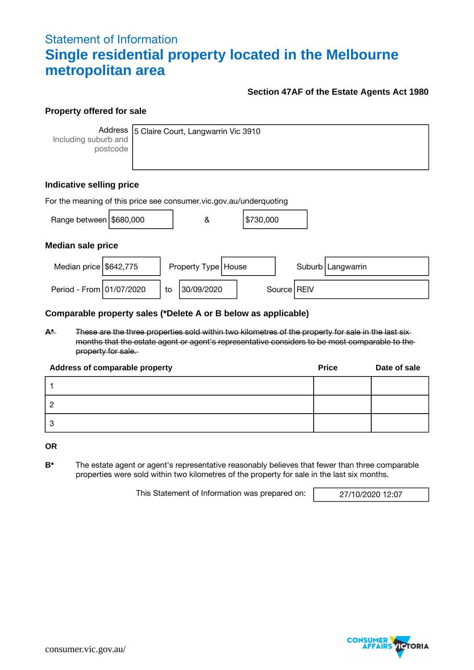## Statement of Information **Single residential property located in the Melbourne metropolitan area**

#### **Section 47AF of the Estate Agents Act 1980**

#### **Property offered for sale**

Including suburb and postcode

Address 5 Claire Court, Langwarrin Vic 3910

#### **Indicative selling price**

| For the meaning of this price see consumer.vic.gov.au/underquoting |  |    |                       |  |           |  |               |                     |
|--------------------------------------------------------------------|--|----|-----------------------|--|-----------|--|---------------|---------------------|
| Range between \$680,000                                            |  |    | &                     |  | \$730,000 |  |               |                     |
| <b>Median sale price</b>                                           |  |    |                       |  |           |  |               |                     |
| Median price $$642,775$                                            |  |    | Property Type   House |  |           |  |               | Suburb   Langwarrin |
| Period - From 01/07/2020                                           |  | to | 30/09/2020            |  |           |  | Source   REIV |                     |

#### **Comparable property sales (\*Delete A or B below as applicable)**

**A\*** These are the three properties sold within two kilometres of the property for sale in the last six months that the estate agent or agent's representative considers to be most comparable to the property for sale.

| Address of comparable property | <b>Price</b> | Date of sale |
|--------------------------------|--------------|--------------|
|                                |              |              |
|                                |              |              |
| 3                              |              |              |

**OR**

**B\*** The estate agent or agent's representative reasonably believes that fewer than three comparable properties were sold within two kilometres of the property for sale in the last six months.

This Statement of Information was prepared on: 27/10/2020 12:07